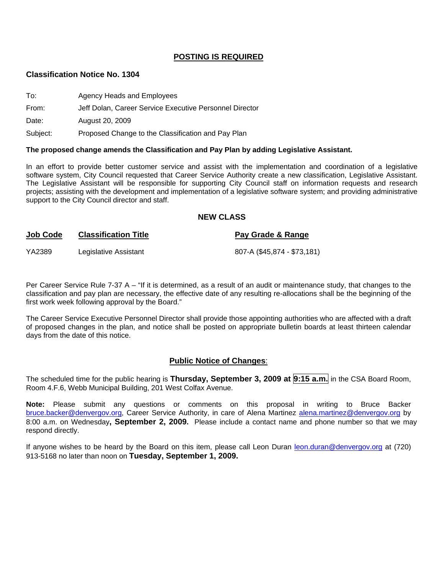## **POSTING IS REQUIRED**

#### **Classification Notice No. 1304**

| To:      | Agency Heads and Employees                              |
|----------|---------------------------------------------------------|
| From:    | Jeff Dolan, Career Service Executive Personnel Director |
| Date:    | August 20, 2009                                         |
| Subject: | Proposed Change to the Classification and Pay Plan      |

#### **The proposed change amends the Classification and Pay Plan by adding Legislative Assistant.**

In an effort to provide better customer service and assist with the implementation and coordination of a legislative software system, City Council requested that Career Service Authority create a new classification, Legislative Assistant. The Legislative Assistant will be responsible for supporting City Council staff on information requests and research projects; assisting with the development and implementation of a legislative software system; and providing administrative support to the City Council director and staff.

#### **NEW CLASS**

| .      |                       |                             |
|--------|-----------------------|-----------------------------|
| YA2389 | Legislative Assistant | 807-A (\$45,874 - \$73,181) |

**Job Code Classification Title Pay Grade & Range**

Per Career Service Rule 7-37 A – "If it is determined, as a result of an audit or maintenance study, that changes to the classification and pay plan are necessary, the effective date of any resulting re-allocations shall be the beginning of the first work week following approval by the Board."

The Career Service Executive Personnel Director shall provide those appointing authorities who are affected with a draft of proposed changes in the plan, and notice shall be posted on appropriate bulletin boards at least thirteen calendar days from the date of this notice.

#### **Public Notice of Changes**:

The scheduled time for the public hearing is **Thursday, September 3, 2009 at 9:15 a.m.** in the CSA Board Room, Room 4.F.6, Webb Municipal Building, 201 West Colfax Avenue.

**Note:** Please submit any questions or comments on this proposal in writing to Bruce Backer [bruce.backer@denvergov.org,](mailto:bruce.backer@denvergov.org) Career Service Authority, in care of Alena Martinez [alena.martinez@denvergov.org](mailto:alena.martinez@denvergov.org) by 8:00 a.m. on Wednesday**, September 2, 2009.** Please include a contact name and phone number so that we may respond directly.

If anyone wishes to be heard by the Board on this item, please call Leon Duran [leon.duran@denvergov.org](mailto:leon.duran@denvergov.org) at (720) 913-5168 no later than noon on **Tuesday, September 1, 2009.**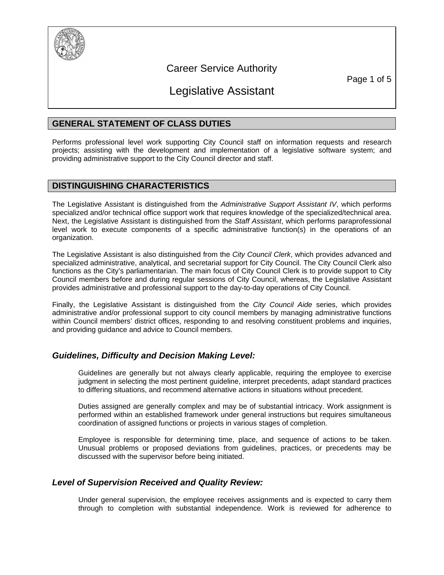

## Career Service Authority

Page 1 of 5

# Legislative Assistant

## **GENERAL STATEMENT OF CLASS DUTIES**

Performs professional level work supporting City Council staff on information requests and research projects; assisting with the development and implementation of a legislative software system; and providing administrative support to the City Council director and staff.

## **DISTINGUISHING CHARACTERISTICS**

The Legislative Assistant is distinguished from the *Administrative Support Assistant IV*, which performs specialized and/or technical office support work that requires knowledge of the specialized/technical area. Next, the Legislative Assistant is distinguished from the *Staff Assistant*, which performs paraprofessional level work to execute components of a specific administrative function(s) in the operations of an organization.

The Legislative Assistant is also distinguished from the *City Council Clerk*, which provides advanced and specialized administrative, analytical, and secretarial support for City Council. The City Council Clerk also functions as the City's parliamentarian. The main focus of City Council Clerk is to provide support to City Council members before and during regular sessions of City Council, whereas, the Legislative Assistant provides administrative and professional support to the day-to-day operations of City Council.

Finally, the Legislative Assistant is distinguished from the *City Council Aide* series, which provides administrative and/or professional support to city council members by managing administrative functions within Council members' district offices, responding to and resolving constituent problems and inquiries, and providing guidance and advice to Council members.

## *Guidelines, Difficulty and Decision Making Level:*

Guidelines are generally but not always clearly applicable, requiring the employee to exercise judgment in selecting the most pertinent guideline, interpret precedents, adapt standard practices to differing situations, and recommend alternative actions in situations without precedent.

Duties assigned are generally complex and may be of substantial intricacy. Work assignment is performed within an established framework under general instructions but requires simultaneous coordination of assigned functions or projects in various stages of completion.

Employee is responsible for determining time, place, and sequence of actions to be taken. Unusual problems or proposed deviations from guidelines, practices, or precedents may be discussed with the supervisor before being initiated.

## *Level of Supervision Received and Quality Review:*

Under general supervision, the employee receives assignments and is expected to carry them through to completion with substantial independence. Work is reviewed for adherence to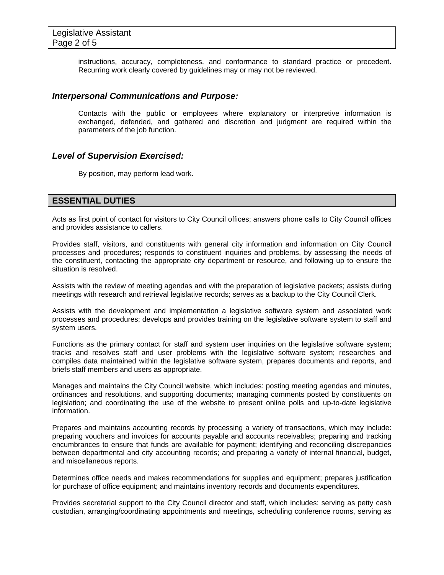instructions, accuracy, completeness, and conformance to standard practice or precedent. Recurring work clearly covered by guidelines may or may not be reviewed.

#### *Interpersonal Communications and Purpose:*

Contacts with the public or employees where explanatory or interpretive information is exchanged, defended, and gathered and discretion and judgment are required within the parameters of the job function.

#### *Level of Supervision Exercised:*

By position, may perform lead work.

## **ESSENTIAL DUTIES**

Acts as first point of contact for visitors to City Council offices; answers phone calls to City Council offices and provides assistance to callers.

Provides staff, visitors, and constituents with general city information and information on City Council processes and procedures; responds to constituent inquiries and problems, by assessing the needs of the constituent, contacting the appropriate city department or resource, and following up to ensure the situation is resolved.

Assists with the review of meeting agendas and with the preparation of legislative packets; assists during meetings with research and retrieval legislative records; serves as a backup to the City Council Clerk.

Assists with the development and implementation a legislative software system and associated work processes and procedures; develops and provides training on the legislative software system to staff and system users.

Functions as the primary contact for staff and system user inquiries on the legislative software system; tracks and resolves staff and user problems with the legislative software system; researches and compiles data maintained within the legislative software system, prepares documents and reports, and briefs staff members and users as appropriate.

Manages and maintains the City Council website, which includes: posting meeting agendas and minutes, ordinances and resolutions, and supporting documents; managing comments posted by constituents on legislation; and coordinating the use of the website to present online polls and up-to-date legislative information.

Prepares and maintains accounting records by processing a variety of transactions, which may include: preparing vouchers and invoices for accounts payable and accounts receivables; preparing and tracking encumbrances to ensure that funds are available for payment; identifying and reconciling discrepancies between departmental and city accounting records; and preparing a variety of internal financial, budget, and miscellaneous reports.

Determines office needs and makes recommendations for supplies and equipment; prepares justification for purchase of office equipment; and maintains inventory records and documents expenditures.

Provides secretarial support to the City Council director and staff, which includes: serving as petty cash custodian, arranging/coordinating appointments and meetings, scheduling conference rooms, serving as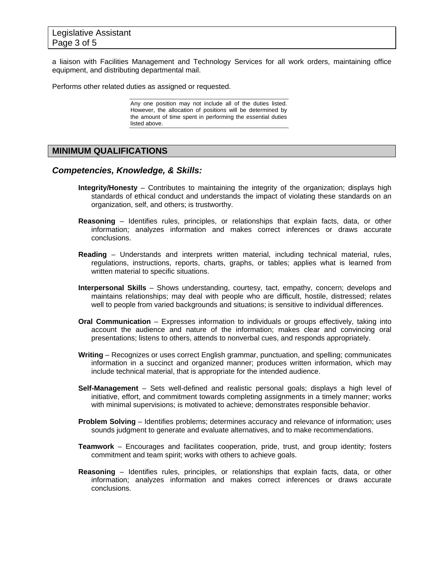a liaison with Facilities Management and Technology Services for all work orders, maintaining office equipment, and distributing departmental mail.

Performs other related duties as assigned or requested.

Any one position may not include all of the duties listed. However, the allocation of positions will be determined by the amount of time spent in performing the essential duties listed above.

## **MINIMUM QUALIFICATIONS**

#### *Competencies, Knowledge, & Skills:*

- **Integrity/Honesty** Contributes to maintaining the integrity of the organization; displays high standards of ethical conduct and understands the impact of violating these standards on an organization, self, and others; is trustworthy.
- **Reasoning** Identifies rules, principles, or relationships that explain facts, data, or other information; analyzes information and makes correct inferences or draws accurate conclusions.
- **Reading**  Understands and interprets written material, including technical material, rules, regulations, instructions, reports, charts, graphs, or tables; applies what is learned from written material to specific situations.
- **Interpersonal Skills** Shows understanding, courtesy, tact, empathy, concern; develops and maintains relationships; may deal with people who are difficult, hostile, distressed; relates well to people from varied backgrounds and situations; is sensitive to individual differences.
- **Oral Communication** Expresses information to individuals or groups effectively, taking into account the audience and nature of the information; makes clear and convincing oral presentations; listens to others, attends to nonverbal cues, and responds appropriately.
- **Writing**  Recognizes or uses correct English grammar, punctuation, and spelling; communicates information in a succinct and organized manner; produces written information, which may include technical material, that is appropriate for the intended audience.
- **Self-Management** Sets well-defined and realistic personal goals; displays a high level of initiative, effort, and commitment towards completing assignments in a timely manner; works with minimal supervisions; is motivated to achieve; demonstrates responsible behavior.
- **Problem Solving** Identifies problems; determines accuracy and relevance of information; uses sounds judgment to generate and evaluate alternatives, and to make recommendations.
- **Teamwork**  Encourages and facilitates cooperation, pride, trust, and group identity; fosters commitment and team spirit; works with others to achieve goals.
- **Reasoning** Identifies rules, principles, or relationships that explain facts, data, or other information; analyzes information and makes correct inferences or draws accurate conclusions.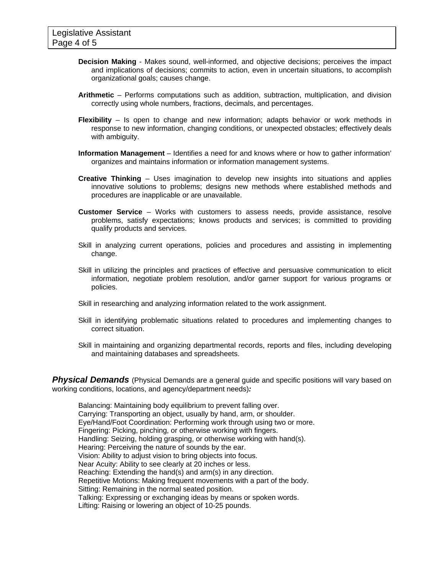- **Decision Making** Makes sound, well-informed, and objective decisions; perceives the impact and implications of decisions; commits to action, even in uncertain situations, to accomplish organizational goals; causes change.
- **Arithmetic** Performs computations such as addition, subtraction, multiplication, and division correctly using whole numbers, fractions, decimals, and percentages.
- **Flexibility** Is open to change and new information; adapts behavior or work methods in response to new information, changing conditions, or unexpected obstacles; effectively deals with ambiguity.
- **Information Management** Identifies a need for and knows where or how to gather information' organizes and maintains information or information management systems.
- **Creative Thinking** Uses imagination to develop new insights into situations and applies innovative solutions to problems; designs new methods where established methods and procedures are inapplicable or are unavailable.
- **Customer Service** Works with customers to assess needs, provide assistance, resolve problems, satisfy expectations; knows products and services; is committed to providing qualify products and services.
- Skill in analyzing current operations, policies and procedures and assisting in implementing change.
- Skill in utilizing the principles and practices of effective and persuasive communication to elicit information, negotiate problem resolution, and/or garner support for various programs or policies.
- Skill in researching and analyzing information related to the work assignment.
- Skill in identifying problematic situations related to procedures and implementing changes to correct situation.
- Skill in maintaining and organizing departmental records, reports and files, including developing and maintaining databases and spreadsheets.

**Physical Demands** (Physical Demands are a general guide and specific positions will vary based on working conditions, locations, and agency/department needs)*:* 

Balancing: Maintaining body equilibrium to prevent falling over. Carrying: Transporting an object, usually by hand, arm, or shoulder. Eye/Hand/Foot Coordination: Performing work through using two or more. Fingering: Picking, pinching, or otherwise working with fingers. Handling: Seizing, holding grasping, or otherwise working with hand(s). Hearing: Perceiving the nature of sounds by the ear. Vision: Ability to adjust vision to bring objects into focus. Near Acuity: Ability to see clearly at 20 inches or less. Reaching: Extending the hand(s) and arm(s) in any direction. Repetitive Motions: Making frequent movements with a part of the body. Sitting: Remaining in the normal seated position. Talking: Expressing or exchanging ideas by means or spoken words. Lifting: Raising or lowering an object of 10-25 pounds.